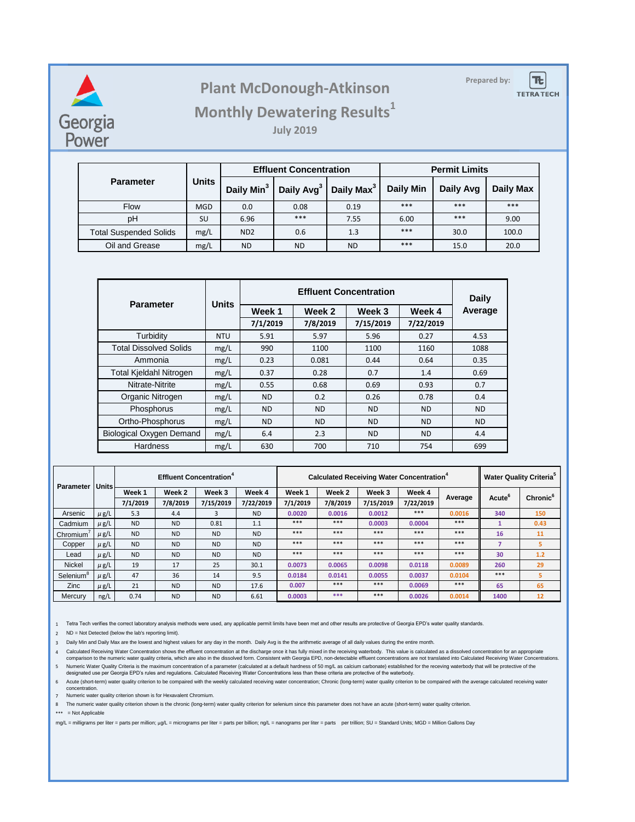

## **Prepared by: Plant McDonough-Atkinson**

 $|\mathbf{E}|$ **TETRA TECH** 

## **Monthly Dewatering Results<sup>1</sup>**

**July 2019**

|                               | <b>Units</b> |                             | <b>Effluent Concentration</b> |                        | <b>Permit Limits</b> |           |                  |  |
|-------------------------------|--------------|-----------------------------|-------------------------------|------------------------|----------------------|-----------|------------------|--|
| <b>Parameter</b>              |              | Daily Min <sup>3</sup>      | Daily Avg <sup>3</sup>        | Daily Max <sup>3</sup> | <b>Daily Min</b>     | Daily Avg | <b>Daily Max</b> |  |
| <b>Flow</b>                   | <b>MGD</b>   | 0.0                         | 0.08                          | 0.19                   | ***                  | ***       | $***$            |  |
| pH                            | SU           | 6.96                        | ***                           | 7.55                   | 6.00                 | ***       | 9.00             |  |
| <b>Total Suspended Solids</b> | mg/L         | N <sub>D</sub> <sub>2</sub> | 0.6                           | 1.3                    | ***                  | 30.0      | 100.0            |  |
| Oil and Grease                | mg/L         | <b>ND</b>                   | <b>ND</b>                     | <b>ND</b>              | ***                  | 15.0      | 20.0             |  |

| <b>Parameter</b>                | <b>Units</b> |           | <b>Daily</b> |           |           |           |  |
|---------------------------------|--------------|-----------|--------------|-----------|-----------|-----------|--|
|                                 |              | Week 1    | Week 2       | Week 3    | Week 4    | Average   |  |
|                                 |              | 7/1/2019  | 7/8/2019     | 7/15/2019 | 7/22/2019 |           |  |
| Turbidity                       | <b>NTU</b>   | 5.91      | 5.97         | 5.96      | 0.27      | 4.53      |  |
| <b>Total Dissolved Solids</b>   | mg/L         | 990       | 1100         | 1100      | 1160      | 1088      |  |
| Ammonia                         | mg/L         | 0.23      | 0.081        | 0.44      | 0.64      | 0.35      |  |
| <b>Total Kjeldahl Nitrogen</b>  | mg/L         | 0.37      | 0.28         | 0.7       | 1.4       | 0.69      |  |
| Nitrate-Nitrite                 | mg/L         | 0.55      | 0.68         | 0.69      | 0.93      | 0.7       |  |
| Organic Nitrogen                | mg/L         | <b>ND</b> | 0.2          | 0.26      | 0.78      | 0.4       |  |
| Phosphorus                      | mg/L         | <b>ND</b> | ND.          | <b>ND</b> | ND.       | <b>ND</b> |  |
| Ortho-Phosphorus                | mg/L         | <b>ND</b> | <b>ND</b>    | <b>ND</b> | <b>ND</b> | <b>ND</b> |  |
| <b>Biological Oxygen Demand</b> | mg/L         | 6.4       | 2.3          | ND.       | ND.       | 4.4       |  |
| Hardness                        | mg/L         | 630       | 700          | 710       | 754       | 699       |  |

| Parameter             | <b>Units</b> | <b>Effluent Concentration<sup>4</sup></b> |           |           |           | <b>Calculated Receiving Water Concentration</b> <sup>+</sup> |          |           |           |         | <b>Water Quality Criteria</b> <sup>5</sup> |                      |
|-----------------------|--------------|-------------------------------------------|-----------|-----------|-----------|--------------------------------------------------------------|----------|-----------|-----------|---------|--------------------------------------------|----------------------|
|                       |              | Week 1                                    | Week 2    | Week 3    | Week 4    | Week 1                                                       | Week 2   | Week 3    | Week 4    |         | Acute <sup>6</sup>                         | Chronic <sup>6</sup> |
|                       |              | 7/1/2019                                  | 7/8/2019  | 7/15/2019 | 7/22/2019 | 7/1/2019                                                     | 7/8/2019 | 7/15/2019 | 7/22/2019 | Average |                                            |                      |
| Arsenic               | $\mu$ g/L    | 5.3                                       | 4.4       | 3         | ND.       | 0.0020                                                       | 0.0016   | 0.0012    | $***$     | 0.0016  | 340                                        | 150                  |
| Cadmium               | $\mu$ g/L    | <b>ND</b>                                 | <b>ND</b> | 0.81      | 1.1       | $***$                                                        | $***$    | 0.0003    | 0.0004    | $***$   |                                            | 0.43                 |
| Chromium <sup>'</sup> | $\mu$ g/L    | <b>ND</b>                                 | <b>ND</b> | <b>ND</b> | <b>ND</b> | $***$                                                        | $***$    | $***$     | $***$     | $***$   | 16                                         | 11                   |
| Copper                | $\mu$ g/L    | <b>ND</b>                                 | <b>ND</b> | <b>ND</b> | <b>ND</b> | $***$                                                        | $***$    | $***$     | $***$     | $***$   |                                            | 5                    |
| Lead                  | $\mu$ g/L    | <b>ND</b>                                 | <b>ND</b> | <b>ND</b> | <b>ND</b> | $***$                                                        | $***$    | $***$     | $***$     | $***$   | 30                                         | 1.2                  |
| <b>Nickel</b>         | $\mu$ g/L    | 19                                        | 17        | 25        | 30.1      | 0.0073                                                       | 0.0065   | 0.0098    | 0.0118    | 0.0089  | 260                                        | 29                   |
| Selenium <sup>8</sup> | $\mu$ g/L    | 47                                        | 36        | 14        | 9.5       | 0.0184                                                       | 0.0141   | 0.0055    | 0.0037    | 0.0104  | $***$                                      | 5                    |
| <b>Zinc</b>           | $\mu$ g/L    | 21                                        | <b>ND</b> | <b>ND</b> | 17.6      | 0.007                                                        | $***$    | $***$     | 0.0069    | $***$   | 65                                         | 65                   |
| Mercury               | ng/L         | 0.74                                      | <b>ND</b> | <b>ND</b> | 6.61      | 0.0003                                                       | ***      | $***$     | 0.0026    | 0.0014  | 1400                                       | 12                   |

1 Tetra Tech verifies the correct laboratory analysis methods were used, any applicable permit limits have been met and other results are protective of Georgia EPD's water quality standards.

2 ND = Not Detected (below the lab's reporting limit).

3 Daily Min and Daily Max are the lowest and highest values for any day in the month. Daily Avg is the the arithmetic average of all daily values during the entire month.

Calculated Receiving Water Concentration shows the effluent concentration at the discharge once it has fully mixed in the receiving waterbody. This value is calculated as a dissolved concentration for an appropriate<br>.compa Mumeric Water Quality Criteria is the maximum concentration of a parameter (calculated at a default hardness of 50 mg/L as calcium carbonate) established for the receving waterbody that will be protective of the designated

6 Acute (short-term) water quality criterion to be compaired with the weekly calculated receiving water concentration; Chronic (long-term) water quality criterion to be compaired with the average calculated receiving water concentration.

7 Numeric water quality criterion shown is for Hexavalent Chromium.

8 The numeric water quality criterion shown is the chronic (long-term) water quality criterion for selenium since this parameter does not have an acute (short-term) water quality criterion.

\*\*\* = Not Applicable

mg/L = milligrams per liter = parts per million; µg/L = micrograms per liter = parts per billion; ng/L = nanograms per liter = parts per trillion; SU = Standard Units; MGD = Million Gallons Day